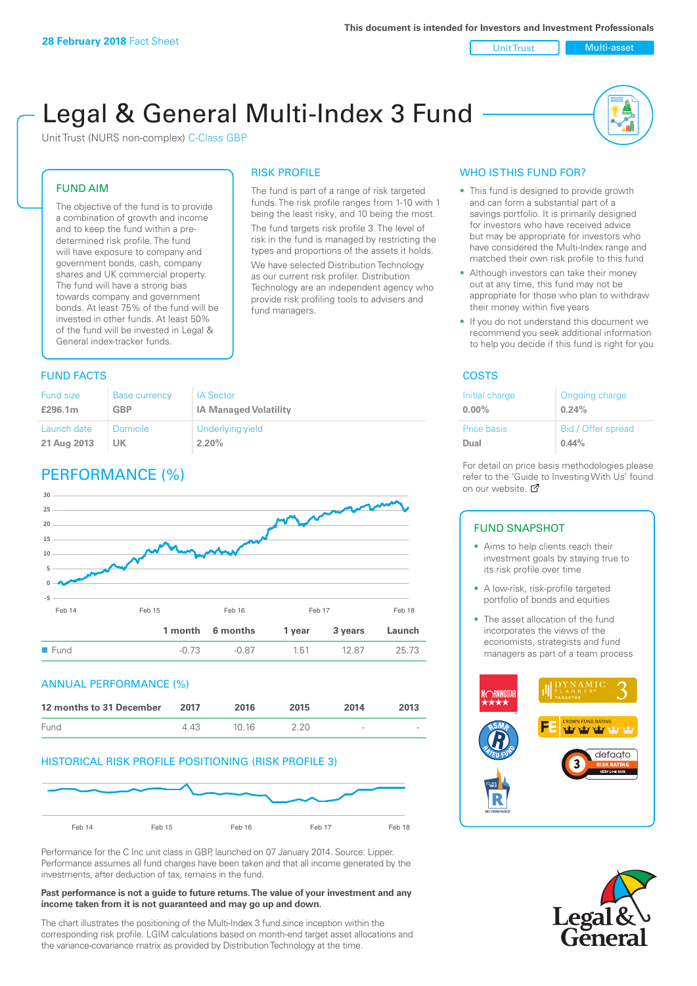### Unit Trust Multi-asset

# Legal & General Multi-Index 3 Fund

RISK PROFILE

fund managers.

The fund is part of a range of risk targeted funds. The risk profile ranges from 1-10 with 1 being the least risky, and 10 being the most. The fund targets risk profile 3. The level of risk in the fund is managed by restricting the types and proportions of the assets it holds. We have selected Distribution Technology as our current risk profiler. Distribution Technology are an independent agency who provide risk profiling tools to advisers and

Unit Trust (NURS non-complex) C-Class GBP

## FUND AIM

The objective of the fund is to provide a combination of growth and income and to keep the fund within a predetermined risk profile. The fund will have exposure to company and government bonds, cash, company shares and UK commercial property. The fund will have a strong bias towards company and government bonds. At least 75% of the fund will be invested in other funds. At least 50% of the fund will be invested in Legal & General index-tracker funds.

## **FUND FACTS** COSTS

| <b>Fund size</b> | <b>Base currency</b> | <b>IA Sector</b>             |
|------------------|----------------------|------------------------------|
| £296.1m          | <b>GBP</b>           | <b>IA Managed Volatility</b> |
| Launch date      | Domicile             | Underlying yield             |
| 21 Aug 2013      | UK                   | 2.20%                        |

## PERFORMANCE (%)



### ANNUAL PERFORMANCE (%)



## HISTORICAL RISK PROFILE POSITIONING (RISK PROFILE 3)



Performance for the C Inc unit class in GBP, launched on 07 January 2014. Source: Lipper. Performance assumes all fund charges have been taken and that all income generated by the investments, after deduction of tax, remains in the fund.

#### **Past performance is not a guide to future returns. The value of your investment and any income taken from it is not guaranteed and may go up and down.**

The chart illustrates the positioning of the Multi-Index 3 fund since inception within the corresponding risk profile. LGIM calculations based on month-end target asset allocations and the variance-covariance matrix as provided by Distribution Technology at the time.

## WHO IS THIS FUND FOR?

- This fund is designed to provide growth and can form a substantial part of a savings portfolio. It is primarily designed for investors who have received advice but may be appropriate for investors who have considered the Multi-Index range and matched their own risk profile to this fund
- Although investors can take their money out at any time, this fund may not be appropriate for those who plan to withdraw their money within five years
- If you do not understand this document we recommend you seek additional information to help you decide if this fund is right for you

| Initial charge     | Ongoing charge     |
|--------------------|--------------------|
| $0.00\%$           | 0.24%              |
| <b>Price basis</b> | Bid / Offer spread |
| Dual               | $0.44\%$           |

For detail on price basis methodologies please refer to the 'Gu[ide t](http://www.legalandgeneral.com/guide)o Investing With Us' found on our website. Ø

## FUND SNAPSHOT

- Aims to help clients reach their investment goals by staying true to its risk profile over time
- A low-risk, risk-profile targeted portfolio of bonds and equities
- The asset allocation of the fund incorporates the views of the economists, strategists and fund managers as part of a team process



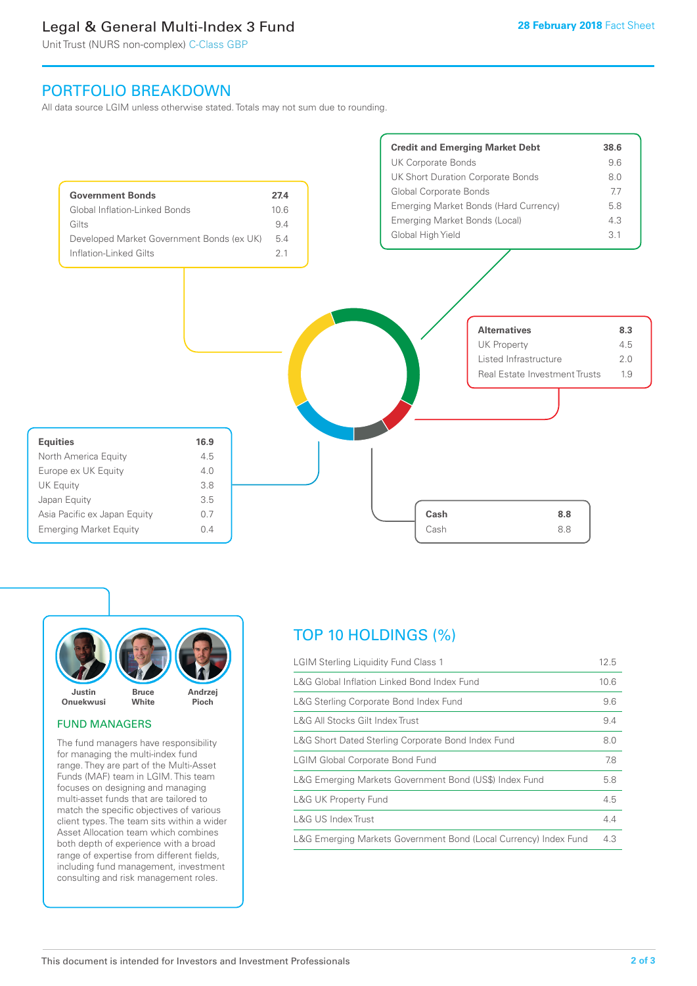## Legal & General Multi-Index 3 Fund

Unit Trust (NURS non-complex) C-Class GBP

## PORTFOLIO BREAKDOWN

All data source LGIM unless otherwise stated. Totals may not sum due to rounding.





## FUND MANAGERS

The fund managers have responsibility for managing the multi-index fund range. They are part of the Multi-Asset Funds (MAF) team in LGIM. This team focuses on designing and managing multi-asset funds that are tailored to match the specific objectives of various client types. The team sits within a wider Asset Allocation team which combines both depth of experience with a broad range of expertise from different fields, including fund management, investment consulting and risk management roles.

## TOP 10 HOLDINGS (%)

| <b>LGIM Sterling Liquidity Fund Class 1</b>                      |     |
|------------------------------------------------------------------|-----|
| L&G Global Inflation Linked Bond Index Fund                      |     |
| L&G Sterling Corporate Bond Index Fund                           |     |
| L&G All Stocks Gilt Index Trust                                  | 9.4 |
| L&G Short Dated Sterling Corporate Bond Index Fund               |     |
| <b>LGIM Global Corporate Bond Fund</b>                           |     |
| L&G Emerging Markets Government Bond (US\$) Index Fund           |     |
| L&G UK Property Fund                                             |     |
| L&G US Index Trust                                               | 4.4 |
| L&G Emerging Markets Government Bond (Local Currency) Index Fund |     |